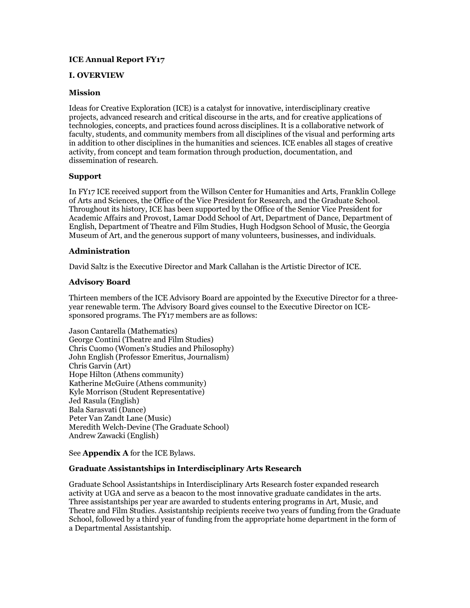# **ICE Annual Report FY17**

## **I. OVERVIEW**

### **Mission**

Ideas for Creative Exploration (ICE) is a catalyst for innovative, interdisciplinary creative projects, advanced research and critical discourse in the arts, and for creative applications of technologies, concepts, and practices found across disciplines. It is a collaborative network of faculty, students, and community members from all disciplines of the visual and performing arts in addition to other disciplines in the humanities and sciences. ICE enables all stages of creative activity, from concept and team formation through production, documentation, and dissemination of research.

### **Support**

In FY17 ICE received support from the Willson Center for Humanities and Arts, Franklin College of Arts and Sciences, the Office of the Vice President for Research, and the Graduate School. Throughout its history, ICE has been supported by the Office of the Senior Vice President for Academic Affairs and Provost, Lamar Dodd School of Art, Department of Dance, Department of English, Department of Theatre and Film Studies, Hugh Hodgson School of Music, the Georgia Museum of Art, and the generous support of many volunteers, businesses, and individuals.

# **Administration**

David Saltz is the Executive Director and Mark Callahan is the Artistic Director of ICE.

# **Advisory Board**

Thirteen members of the ICE Advisory Board are appointed by the Executive Director for a threeyear renewable term. The Advisory Board gives counsel to the Executive Director on ICEsponsored programs. The FY17 members are as follows:

Jason Cantarella (Mathematics) George Contini (Theatre and Film Studies) Chris Cuomo (Women's Studies and Philosophy) John English (Professor Emeritus, Journalism) Chris Garvin (Art) Hope Hilton (Athens community) Katherine McGuire (Athens community) Kyle Morrison (Student Representative) Jed Rasula (English) Bala Sarasvati (Dance) Peter Van Zandt Lane (Music) Meredith Welch-Devine (The Graduate School) Andrew Zawacki (English)

See **Appendix A** for the ICE Bylaws.

# **Graduate Assistantships in Interdisciplinary Arts Research**

Graduate School Assistantships in Interdisciplinary Arts Research foster expanded research activity at UGA and serve as a beacon to the most innovative graduate candidates in the arts. Three assistantships per year are awarded to students entering programs in Art, Music, and Theatre and Film Studies. Assistantship recipients receive two years of funding from the Graduate School, followed by a third year of funding from the appropriate home department in the form of a Departmental Assistantship.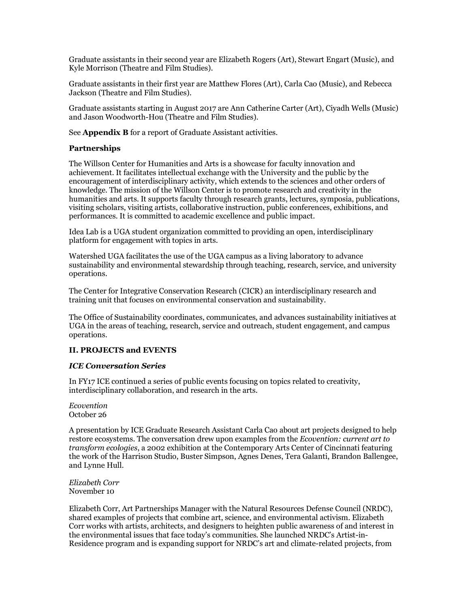Graduate assistants in their second year are Elizabeth Rogers (Art), Stewart Engart (Music), and Kyle Morrison (Theatre and Film Studies).

Graduate assistants in their first year are Matthew Flores (Art), Carla Cao (Music), and Rebecca Jackson (Theatre and Film Studies).

Graduate assistants starting in August 2017 are Ann Catherine Carter (Art), Ciyadh Wells (Music) and Jason Woodworth-Hou (Theatre and Film Studies).

See **Appendix B** for a report of Graduate Assistant activities.

### **Partnerships**

The Willson Center for Humanities and Arts is a showcase for faculty innovation and achievement. It facilitates intellectual exchange with the University and the public by the encouragement of interdisciplinary activity, which extends to the sciences and other orders of knowledge. The mission of the Willson Center is to promote research and creativity in the humanities and arts. It supports faculty through research grants, lectures, symposia, publications, visiting scholars, visiting artists, collaborative instruction, public conferences, exhibitions, and performances. It is committed to academic excellence and public impact.

Idea Lab is a UGA student organization committed to providing an open, interdisciplinary platform for engagement with topics in arts.

Watershed UGA facilitates the use of the UGA campus as a living laboratory to advance sustainability and environmental stewardship through teaching, research, service, and university operations.

The Center for Integrative Conservation Research (CICR) an interdisciplinary research and training unit that focuses on environmental conservation and sustainability.

The Office of Sustainability coordinates, communicates, and advances sustainability initiatives at UGA in the areas of teaching, research, service and outreach, student engagement, and campus operations.

### **II. PROJECTS and EVENTS**

# *ICE Conversation Series*

In FY17 ICE continued a series of public events focusing on topics related to creativity, interdisciplinary collaboration, and research in the arts.

*Ecovention* October 26

A presentation by ICE Graduate Research Assistant Carla Cao about art projects designed to help restore ecosystems. The conversation drew upon examples from the *Ecovention: current art to transform ecologies*, a 2002 exhibition at the Contemporary Arts Center of Cincinnati featuring the work of the Harrison Studio, Buster Simpson, Agnes Denes, Tera Galanti, Brandon Ballengee, and Lynne Hull.

*Elizabeth Corr* November 10

Elizabeth Corr, Art Partnerships Manager with the Natural Resources Defense Council (NRDC), shared examples of projects that combine art, science, and environmental activism. Elizabeth Corr works with artists, architects, and designers to heighten public awareness of and interest in the environmental issues that face today's communities. She launched NRDC's Artist-in-Residence program and is expanding support for NRDC's art and climate-related projects, from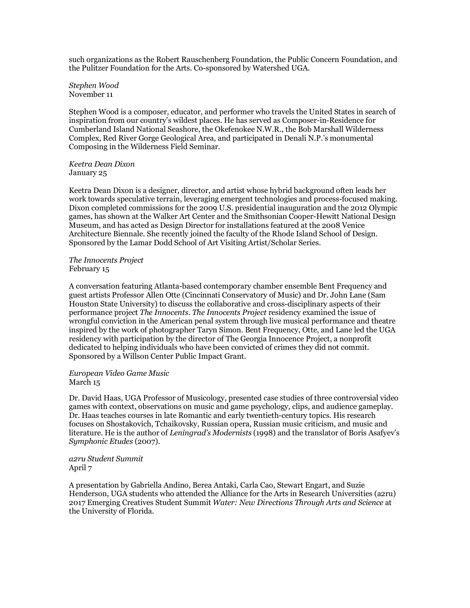such organizations as the Robert Rauschenberg Foundation, the Public Concern Foundation, and the Pulitzer Foundation for the Arts. Co-sponsored by Watershed UGA.

*Stephen Wood* November 11

Stephen Wood is a composer, educator, and performer who travels the United States in search of inspiration from our country's wildest places. He has served as Composer-in-Residence for Cumberland Island National Seashore, the Okefenokee N.W.R., the Bob Marshall Wilderness Complex, Red River Gorge Geological Area, and participated in Denali N.P.'s monumental Composing in the Wilderness Field Seminar.

*Keetra Dean Dixon* January 25

Keetra Dean Dixon is a designer, director, and artist whose hybrid background often leads her work towards speculative terrain, leveraging emergent technologies and process-focused making. Dixon completed commissions for the 2009 U.S. presidential inauguration and the 2012 Olympic games, has shown at the Walker Art Center and the Smithsonian Cooper-Hewitt National Design Museum, and has acted as Design Director for installations featured at the 2008 Venice Architecture Biennale. She recently joined the faculty of the Rhode Island School of Design. Sponsored by the Lamar Dodd School of Art Visiting Artist/Scholar Series.

*The Innocents Project* February 15

A conversation featuring Atlanta-based contemporary chamber ensemble Bent Frequency and guest artists Professor Allen Otte (Cincinnati Conservatory of Music) and Dr. John Lane (Sam Houston State University) to discuss the collaborative and cross-disciplinary aspects of their performance project *The Innocents*. *The Innocents Project* residency examined the issue of wrongful conviction in the American penal system through live musical performance and theatre inspired by the work of photographer Taryn Simon. Bent Frequency, Otte, and Lane led the UGA residency with participation by the director of The Georgia Innocence Project, a nonprofit dedicated to helping individuals who have been convicted of crimes they did not commit. Sponsored by a Willson Center Public Impact Grant.

*European Video Game Music* March 15

Dr. David Haas, UGA Professor of Musicology, presented case studies of three controversial video games with context, observations on music and game psychology, clips, and audience gameplay. Dr. Haas teaches courses in late Romantic and early twentieth-century topics. His research focuses on Shostakovich, Tchaikovsky, Russian opera, Russian music criticism, and music and literature. He is the author of *Leningrad's Modernists* (1998) and the translator of Boris Asafyev's *Symphonic Etudes* (2007).

*a2ru Student Summit* April 7

A presentation by Gabriella Andino, Berea Antaki, Carla Cao, Stewart Engart, and Suzie Henderson, UGA students who attended the Alliance for the Arts in Research Universities (a2ru) 2017 Emerging Creatives Student Summit *Water: New Directions Through Arts and Science* at the University of Florida.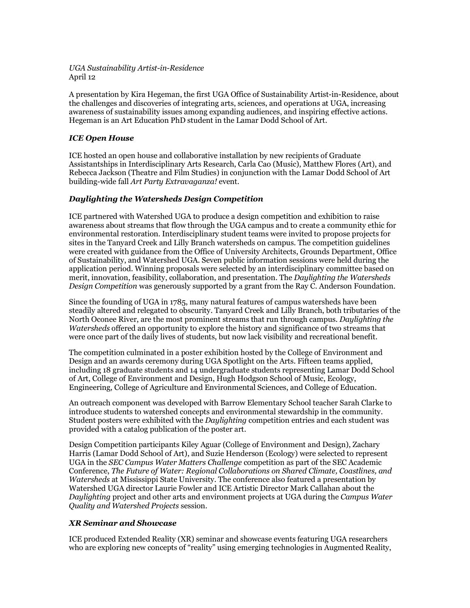*UGA Sustainability Artist-in-Residence* April 12

A presentation by Kira Hegeman, the first UGA Office of Sustainability Artist-in-Residence, about the challenges and discoveries of integrating arts, sciences, and operations at UGA, increasing awareness of sustainability issues among expanding audiences, and inspiring effective actions. Hegeman is an Art Education PhD student in the Lamar Dodd School of Art.

# *ICE Open House*

ICE hosted an open house and collaborative installation by new recipients of Graduate Assistantships in Interdisciplinary Arts Research, Carla Cao (Music), Matthew Flores (Art), and Rebecca Jackson (Theatre and Film Studies) in conjunction with the Lamar Dodd School of Art building-wide fall *Art Party Extravaganza!* event.

# *Daylighting the Watersheds Design Competition*

ICE partnered with Watershed UGA to produce a design competition and exhibition to raise awareness about streams that flow through the UGA campus and to create a community ethic for environmental restoration. Interdisciplinary student teams were invited to propose projects for sites in the Tanyard Creek and Lilly Branch watersheds on campus. The competition guidelines were created with guidance from the Office of University Architects, Grounds Department, Office of Sustainability, and Watershed UGA. Seven public information sessions were held during the application period. Winning proposals were selected by an interdisciplinary committee based on merit, innovation, feasibility, collaboration, and presentation. The *Daylighting the Watersheds Design Competition* was generously supported by a grant from the Ray C. Anderson Foundation.

Since the founding of UGA in 1785, many natural features of campus watersheds have been steadily altered and relegated to obscurity. Tanyard Creek and Lilly Branch, both tributaries of the North Oconee River, are the most prominent streams that run through campus. *Daylighting the Watersheds* offered an opportunity to explore the history and significance of two streams that were once part of the daily lives of students, but now lack visibility and recreational benefit.

The competition culminated in a poster exhibition hosted by the College of Environment and Design and an awards ceremony during UGA Spotlight on the Arts. Fifteen teams applied, including 18 graduate students and 14 undergraduate students representing Lamar Dodd School of Art, College of Environment and Design, Hugh Hodgson School of Music, Ecology, Engineering, College of Agriculture and Environmental Sciences, and College of Education.

An outreach component was developed with Barrow Elementary School teacher Sarah Clarke to introduce students to watershed concepts and environmental stewardship in the community. Student posters were exhibited with the *Daylighting* competition entries and each student was provided with a catalog publication of the poster art.

Design Competition participants Kiley Aguar (College of Environment and Design), Zachary Harris (Lamar Dodd School of Art), and Suzie Henderson (Ecology) were selected to represent UGA in the *SEC Campus Water Matters Challenge* competition as part of the SEC Academic Conference, *The Future of Water: Regional Collaborations on Shared Climate, Coastlines, and Watersheds* at Mississippi State University. The conference also featured a presentation by Watershed UGA director Laurie Fowler and ICE Artistic Director Mark Callahan about the *Daylighting* project and other arts and environment projects at UGA during the *Campus Water Quality and Watershed Projects* session.

### *XR Seminar and Showcase*

ICE produced Extended Reality (XR) seminar and showcase events featuring UGA researchers who are exploring new concepts of "reality" using emerging technologies in Augmented Reality,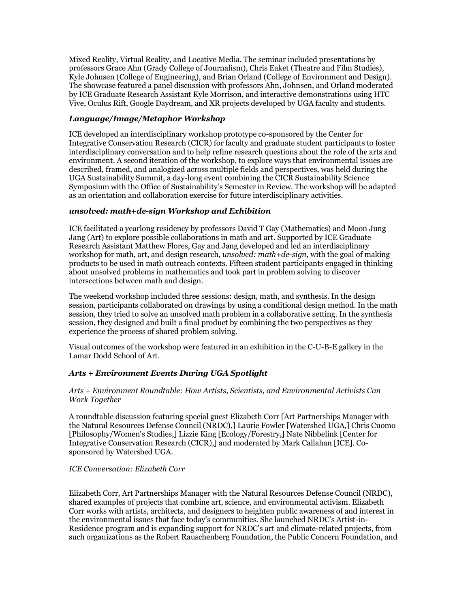Mixed Reality, Virtual Reality, and Locative Media. The seminar included presentations by professors Grace Ahn (Grady College of Journalism), Chris Eaket (Theatre and Film Studies), Kyle Johnsen (College of Engineering), and Brian Orland (College of Environment and Design). The showcase featured a panel discussion with professors Ahn, Johnsen, and Orland moderated by ICE Graduate Research Assistant Kyle Morrison, and interactive demonstrations using HTC Vive, Oculus Rift, Google Daydream, and XR projects developed by UGA faculty and students.

# *Language/Image/Metaphor Workshop*

ICE developed an interdisciplinary workshop prototype co-sponsored by the Center for Integrative Conservation Research (CICR) for faculty and graduate student participants to foster interdisciplinary conversation and to help refine research questions about the role of the arts and environment. A second iteration of the workshop, to explore ways that environmental issues are described, framed, and analogized across multiple fields and perspectives, was held during the UGA Sustainability Summit, a day-long event combining the CICR Sustainability Science Symposium with the Office of Sustainability's Semester in Review. The workshop will be adapted as an orientation and collaboration exercise for future interdisciplinary activities.

# *unsolved: math+de-sign Workshop and Exhibition*

ICE facilitated a yearlong residency by professors David T Gay (Mathematics) and Moon Jung Jang (Art) to explore possible collaborations in math and art. Supported by ICE Graduate Research Assistant Matthew Flores, Gay and Jang developed and led an interdisciplinary workshop for math, art, and design research, *unsolved: math+de-sign,* with the goal of making products to be used in math outreach contexts. Fifteen student participants engaged in thinking about unsolved problems in mathematics and took part in problem solving to discover intersections between math and design.

The weekend workshop included three sessions: design, math, and synthesis. In the design session, participants collaborated on drawings by using a conditional design method. In the math session, they tried to solve an unsolved math problem in a collaborative setting. In the synthesis session, they designed and built a final product by combining the two perspectives as they experience the process of shared problem solving.

Visual outcomes of the workshop were featured in an exhibition in the C-U-B-E gallery in the Lamar Dodd School of Art.

# *Arts + Environment Events During UGA Spotlight*

### *Arts + Environment Roundtable: How Artists, Scientists, and Environmental Activists Can Work Together*

A roundtable discussion featuring special guest Elizabeth Corr [Art Partnerships Manager with the Natural Resources Defense Council (NRDC),] Laurie Fowler [Watershed UGA,] Chris Cuomo [Philosophy/Women's Studies,] Lizzie King [Ecology/Forestry,] Nate Nibbelink [Center for Integrative Conservation Research (CICR),] and moderated by Mark Callahan [ICE]. Cosponsored by Watershed UGA.

### *ICE Conversation: Elizabeth Corr*

Elizabeth Corr, Art Partnerships Manager with the Natural Resources Defense Council (NRDC), shared examples of projects that combine art, science, and environmental activism. Elizabeth Corr works with artists, architects, and designers to heighten public awareness of and interest in the environmental issues that face today's communities. She launched NRDC's Artist-in-Residence program and is expanding support for NRDC's art and climate-related projects, from such organizations as the Robert Rauschenberg Foundation, the Public Concern Foundation, and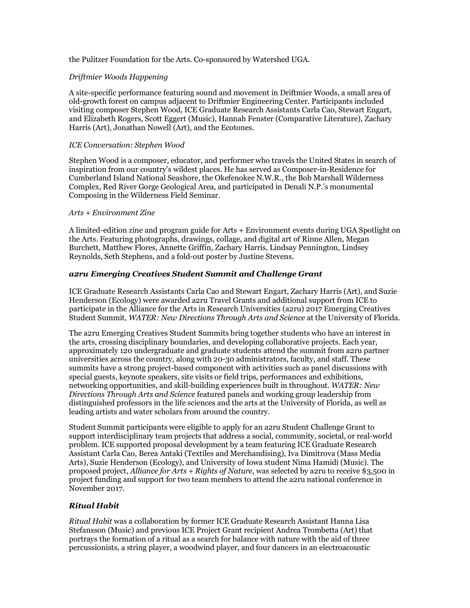the Pulitzer Foundation for the Arts. Co-sponsored by Watershed UGA.

# *Driftmier Woods Happening*

A site-specific performance featuring sound and movement in Driftmier Woods, a small area of old-growth forest on campus adjacent to Driftmier Engineering Center. Participants included visiting composer Stephen Wood, ICE Graduate Research Assistants Carla Cao, Stewart Engart, and Elizabeth Rogers, Scott Eggert (Music), Hannah Fenster (Comparative Literature), Zachary Harris (Art), Jonathan Nowell (Art), and the Ecotones.

## *ICE Conversation: Stephen Wood*

Stephen Wood is a composer, educator, and performer who travels the United States in search of inspiration from our country's wildest places. He has served as Composer-in-Residence for Cumberland Island National Seashore, the Okefenokee N.W.R., the Bob Marshall Wilderness Complex, Red River Gorge Geological Area, and participated in Denali N.P.'s monumental Composing in the Wilderness Field Seminar.

### *Arts + Environment Zine*

A limited-edition zine and program guide for Arts + Environment events during UGA Spotlight on the Arts. Featuring photographs, drawings, collage, and digital art of Rinne Allen, Megan Burchett, Matthew Flores, Annette Griffin, Zachary Harris, Lindsay Pennington, Lindsey Reynolds, Seth Stephens, and a fold-out poster by Justine Stevens.

# *a2ru Emerging Creatives Student Summit and Challenge Grant*

ICE Graduate Research Assistants Carla Cao and Stewart Engart, Zachary Harris (Art), and Suzie Henderson (Ecology) were awarded a2ru Travel Grants and additional support from ICE to participate in the Alliance for the Arts in Research Universities (a2ru) 2017 Emerging Creatives Student Summit*, WATER: New Directions Through Arts and Science* at the University of Florida.

The a2ru Emerging Creatives Student Summits bring together students who have an interest in the arts, crossing disciplinary boundaries, and developing collaborative projects. Each year, approximately 120 undergraduate and graduate students attend the summit from a2ru partner universities across the country, along with 20-30 administrators, faculty, and staff. These summits have a strong project-based component with activities such as panel discussions with special guests, keynote speakers, site visits or field trips, performances and exhibitions, networking opportunities, and skill-building experiences built in throughout. *WATER: New Directions Through Arts and Science* featured panels and working group leadership from distinguished professors in the life sciences and the arts at the University of Florida, as well as leading artists and water scholars from around the country.

Student Summit participants were eligible to apply for an a2ru Student Challenge Grant to support interdisciplinary team projects that address a social, community, societal, or real-world problem. ICE supported proposal development by a team featuring ICE Graduate Research Assistant Carla Cao, Berea Antaki (Textiles and Merchandising), Iva Dimitrova (Mass Media Arts), Suzie Henderson (Ecology), and University of Iowa student Nima Hamidi (Music). The proposed project, *Alliance for Arts + Rights of Nature*, was selected by a2ru to receive \$3,500 in project funding and support for two team members to attend the a2ru national conference in November 2017.

# *Ritual Habit*

*Ritual Habit* was a collaboration by former ICE Graduate Research Assistant Hanna Lisa Stefansson (Music) and previous ICE Project Grant recipient Andrea Trombetta (Art) that portrays the formation of a ritual as a search for balance with nature with the aid of three percussionists, a string player, a woodwind player, and four dancers in an electroacoustic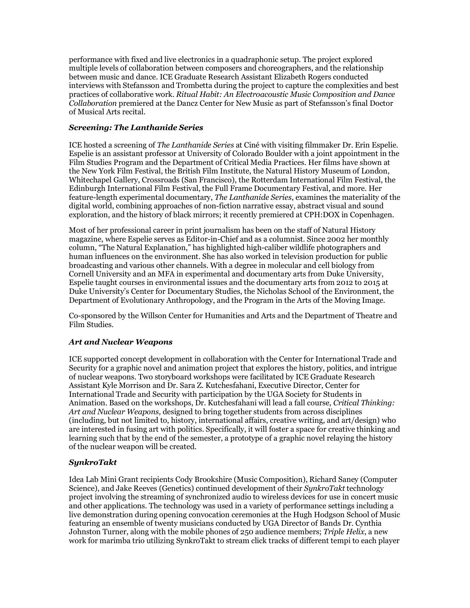performance with fixed and live electronics in a quadraphonic setup. The project explored multiple levels of collaboration between composers and choreographers, and the relationship between music and dance. ICE Graduate Research Assistant Elizabeth Rogers conducted interviews with Stefansson and Trombetta during the project to capture the complexities and best practices of collaborative work. *Ritual Habit: An Electroacoustic Music Composition and Dance Collaboration* premiered at the Dancz Center for New Music as part of Stefansson's final Doctor of Musical Arts recital.

# *Screening: The Lanthanide Series*

ICE hosted a screening of *The Lanthanide Series* at Ciné with visiting filmmaker Dr. Erin Espelie. Espelie is an assistant professor at University of Colorado Boulder with a joint appointment in the Film Studies Program and the Department of Critical Media Practices. Her films have shown at the New York Film Festival, the British Film Institute, the Natural History Museum of London, Whitechapel Gallery, Crossroads (San Francisco), the Rotterdam International Film Festival, the Edinburgh International Film Festival, the Full Frame Documentary Festival, and more. Her feature-length experimental documentary, *The Lanthanide Series*, examines the materiality of the digital world, combining approaches of non-fiction narrative essay, abstract visual and sound exploration, and the history of black mirrors; it recently premiered at CPH:DOX in Copenhagen.

Most of her professional career in print journalism has been on the staff of Natural History magazine, where Espelie serves as Editor-in-Chief and as a columnist. Since 2002 her monthly column, "The Natural Explanation," has highlighted high-caliber wildlife photographers and human influences on the environment. She has also worked in television production for public broadcasting and various other channels. With a degree in molecular and cell biology from Cornell University and an MFA in experimental and documentary arts from Duke University, Espelie taught courses in environmental issues and the documentary arts from 2012 to 2015 at Duke University's Center for Documentary Studies, the Nicholas School of the Environment, the Department of Evolutionary Anthropology, and the Program in the Arts of the Moving Image.

Co-sponsored by the Willson Center for Humanities and Arts and the Department of Theatre and Film Studies.

### *Art and Nuclear Weapons*

ICE supported concept development in collaboration with the Center for International Trade and Security for a graphic novel and animation project that explores the history, politics, and intrigue of nuclear weapons. Two storyboard workshops were facilitated by ICE Graduate Research Assistant Kyle Morrison and Dr. Sara Z. Kutchesfahani, Executive Director, Center for International Trade and Security with participation by the UGA Society for Students in Animation. Based on the workshops, Dr. Kutchesfahani will lead a fall course, *Critical Thinking: Art and Nuclear Weapons,* designed to bring together students from across disciplines (including, but not limited to, history, international affairs, creative writing, and art/design) who are interested in fusing art with politics. Specifically, it will foster a space for creative thinking and learning such that by the end of the semester, a prototype of a graphic novel relaying the history of the nuclear weapon will be created.

# *SynkroTakt*

Idea Lab Mini Grant recipients Cody Brookshire (Music Composition), Richard Saney (Computer Science), and Jake Reeves (Genetics) continued development of their *SynkroTakt* technology project involving the streaming of synchronized audio to wireless devices for use in concert music and other applications. The technology was used in a variety of performance settings including a live demonstration during opening convocation ceremonies at the Hugh Hodgson School of Music featuring an ensemble of twenty musicians conducted by UGA Director of Bands Dr. Cynthia Johnston Turner, along with the mobile phones of 250 audience members; *Triple Helix*, a new work for marimba trio utilizing SynkroTakt to stream click tracks of different tempi to each player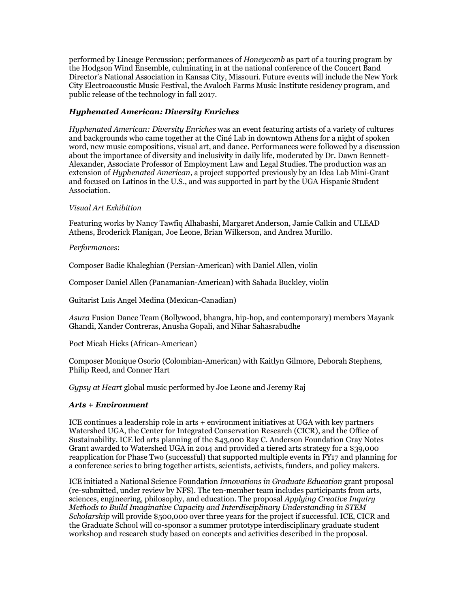performed by Lineage Percussion; performances of *Honeycomb* as part of a touring program by the Hodgson Wind Ensemble, culminating in at the national conference of the Concert Band Director's National Association in Kansas City, Missouri. Future events will include the New York City Electroacoustic Music Festival, the Avaloch Farms Music Institute residency program, and public release of the technology in fall 2017.

# *Hyphenated American: Diversity Enriches*

*Hyphenated American: Diversity Enriches* was an event featuring artists of a variety of cultures and backgrounds who came together at the Ciné Lab in downtown Athens for a night of spoken word, new music compositions, visual art, and dance. Performances were followed by a discussion about the importance of diversity and inclusivity in daily life, moderated by Dr. Dawn Bennett-Alexander, Associate Professor of Employment Law and Legal Studies. The production was an extension of *Hyphenated American*, a project supported previously by an Idea Lab Mini-Grant and focused on Latinos in the U.S., and was supported in part by the UGA Hispanic Student Association.

# *Visual Art Exhibition*

Featuring works by Nancy Tawfiq Alhabashi, Margaret Anderson, Jamie Calkin and ULEAD Athens, Broderick Flanigan, Joe Leone, Brian Wilkerson, and Andrea Murillo.

# *Performances*:

Composer Badie Khaleghian (Persian-American) with Daniel Allen, violin

Composer Daniel Allen (Panamanian-American) with Sahada Buckley, violin

Guitarist Luis Angel Medina (Mexican-Canadian)

*Asura* Fusion Dance Team (Bollywood, bhangra, hip-hop, and contemporary) members Mayank Ghandi, Xander Contreras, Anusha Gopali, and Nihar Sahasrabudhe

Poet Micah Hicks (African-American)

Composer Monique Osorio (Colombian-American) with Kaitlyn Gilmore, Deborah Stephens, Philip Reed, and Conner Hart

*Gypsy at Heart* global music performed by Joe Leone and Jeremy Raj

### *Arts + Environment*

ICE continues a leadership role in arts + environment initiatives at UGA with key partners Watershed UGA, the Center for Integrated Conservation Research (CICR), and the Office of Sustainability. ICE led arts planning of the \$43,000 Ray C. Anderson Foundation Gray Notes Grant awarded to Watershed UGA in 2014 and provided a tiered arts strategy for a \$39,000 reapplication for Phase Two (successful) that supported multiple events in FY17 and planning for a conference series to bring together artists, scientists, activists, funders, and policy makers.

ICE initiated a National Science Foundation *Innovations in Graduate Education* grant proposal (re-submitted, under review by NFS). The ten-member team includes participants from arts, sciences, engineering, philosophy, and education. The proposal *Applying Creative Inquiry Methods to Build Imaginative Capacity and Interdisciplinary Understanding in STEM Scholarship* will provide \$500,000 over three years for the project if successful. ICE, CICR and the Graduate School will co-sponsor a summer prototype interdisciplinary graduate student workshop and research study based on concepts and activities described in the proposal.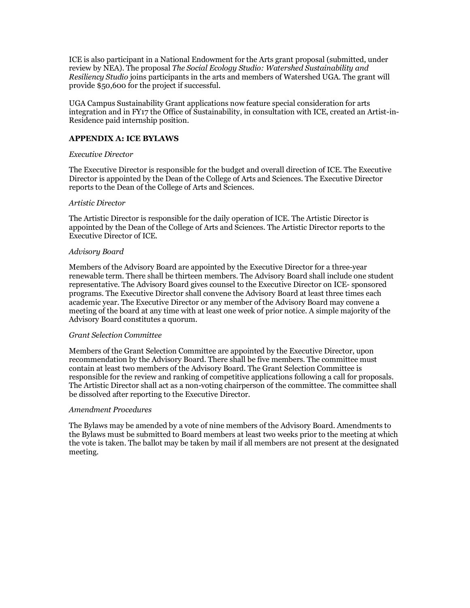ICE is also participant in a National Endowment for the Arts grant proposal (submitted, under review by NEA). The proposal *The Social Ecology Studio: Watershed Sustainability and Resiliency Studio* joins participants in the arts and members of Watershed UGA. The grant will provide \$50,600 for the project if successful.

UGA Campus Sustainability Grant applications now feature special consideration for arts integration and in FY17 the Office of Sustainability, in consultation with ICE, created an Artist-in-Residence paid internship position.

### **APPENDIX A: ICE BYLAWS**

### *Executive Director*

The Executive Director is responsible for the budget and overall direction of ICE. The Executive Director is appointed by the Dean of the College of Arts and Sciences. The Executive Director reports to the Dean of the College of Arts and Sciences.

### *Artistic Director*

The Artistic Director is responsible for the daily operation of ICE. The Artistic Director is appointed by the Dean of the College of Arts and Sciences. The Artistic Director reports to the Executive Director of ICE.

### *Advisory Board*

Members of the Advisory Board are appointed by the Executive Director for a three-year renewable term. There shall be thirteen members. The Advisory Board shall include one student representative. The Advisory Board gives counsel to the Executive Director on ICE- sponsored programs. The Executive Director shall convene the Advisory Board at least three times each academic year. The Executive Director or any member of the Advisory Board may convene a meeting of the board at any time with at least one week of prior notice. A simple majority of the Advisory Board constitutes a quorum.

#### *Grant Selection Committee*

Members of the Grant Selection Committee are appointed by the Executive Director, upon recommendation by the Advisory Board. There shall be five members. The committee must contain at least two members of the Advisory Board. The Grant Selection Committee is responsible for the review and ranking of competitive applications following a call for proposals. The Artistic Director shall act as a non-voting chairperson of the committee. The committee shall be dissolved after reporting to the Executive Director.

#### *Amendment Procedures*

The Bylaws may be amended by a vote of nine members of the Advisory Board. Amendments to the Bylaws must be submitted to Board members at least two weeks prior to the meeting at which the vote is taken. The ballot may be taken by mail if all members are not present at the designated meeting.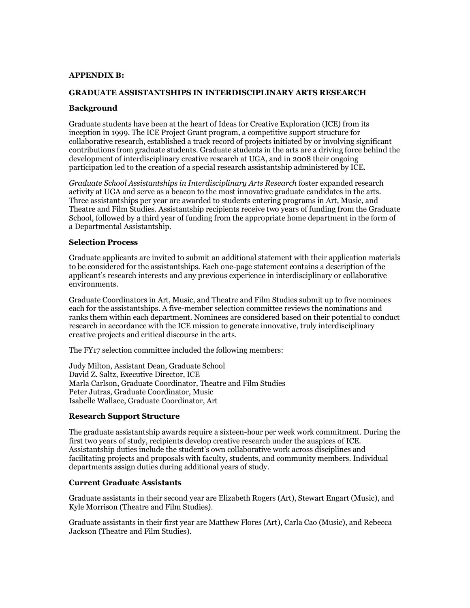### **APPENDIX B:**

### **GRADUATE ASSISTANTSHIPS IN INTERDISCIPLINARY ARTS RESEARCH**

#### **Background**

Graduate students have been at the heart of Ideas for Creative Exploration (ICE) from its inception in 1999. The ICE Project Grant program, a competitive support structure for collaborative research, established a track record of projects initiated by or involving significant contributions from graduate students. Graduate students in the arts are a driving force behind the development of interdisciplinary creative research at UGA, and in 2008 their ongoing participation led to the creation of a special research assistantship administered by ICE.

*Graduate School Assistantships in Interdisciplinary Arts Research* foster expanded research activity at UGA and serve as a beacon to the most innovative graduate candidates in the arts. Three assistantships per year are awarded to students entering programs in Art, Music, and Theatre and Film Studies. Assistantship recipients receive two years of funding from the Graduate School, followed by a third year of funding from the appropriate home department in the form of a Departmental Assistantship.

#### **Selection Process**

Graduate applicants are invited to submit an additional statement with their application materials to be considered for the assistantships. Each one-page statement contains a description of the applicant's research interests and any previous experience in interdisciplinary or collaborative environments.

Graduate Coordinators in Art, Music, and Theatre and Film Studies submit up to five nominees each for the assistantships. A five-member selection committee reviews the nominations and ranks them within each department. Nominees are considered based on their potential to conduct research in accordance with the ICE mission to generate innovative, truly interdisciplinary creative projects and critical discourse in the arts.

The FY17 selection committee included the following members:

Judy Milton, Assistant Dean, Graduate School David Z. Saltz, Executive Director, ICE Marla Carlson, Graduate Coordinator, Theatre and Film Studies Peter Jutras, Graduate Coordinator, Music Isabelle Wallace, Graduate Coordinator, Art

#### **Research Support Structure**

The graduate assistantship awards require a sixteen-hour per week work commitment. During the first two years of study, recipients develop creative research under the auspices of ICE. Assistantship duties include the student's own collaborative work across disciplines and facilitating projects and proposals with faculty, students, and community members. Individual departments assign duties during additional years of study.

### **Current Graduate Assistants**

Graduate assistants in their second year are Elizabeth Rogers (Art), Stewart Engart (Music), and Kyle Morrison (Theatre and Film Studies).

Graduate assistants in their first year are Matthew Flores (Art), Carla Cao (Music), and Rebecca Jackson (Theatre and Film Studies).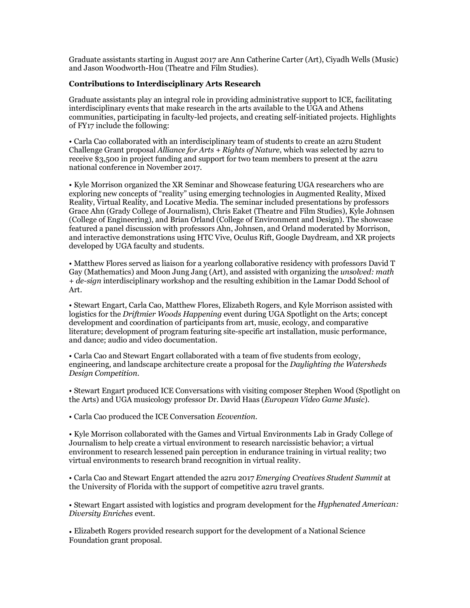Graduate assistants starting in August 2017 are Ann Catherine Carter (Art), Ciyadh Wells (Music) and Jason Woodworth-Hou (Theatre and Film Studies).

# **Contributions to Interdisciplinary Arts Research**

Graduate assistants play an integral role in providing administrative support to ICE, facilitating interdisciplinary events that make research in the arts available to the UGA and Athens communities, participating in faculty-led projects, and creating self-initiated projects. Highlights of FY17 include the following:

• Carla Cao collaborated with an interdisciplinary team of students to create an a2ru Student Challenge Grant proposal *Alliance for Arts + Rights of Nature*, which was selected by a2ru to receive \$3,500 in project funding and support for two team members to present at the a2ru national conference in November 2017.

• Kyle Morrison organized the XR Seminar and Showcase featuring UGA researchers who are exploring new concepts of "reality" using emerging technologies in Augmented Reality, Mixed Reality, Virtual Reality, and Locative Media. The seminar included presentations by professors Grace Ahn (Grady College of Journalism), Chris Eaket (Theatre and Film Studies), Kyle Johnsen (College of Engineering), and Brian Orland (College of Environment and Design). The showcase featured a panel discussion with professors Ahn, Johnsen, and Orland moderated by Morrison, and interactive demonstrations using HTC Vive, Oculus Rift, Google Daydream, and XR projects developed by UGA faculty and students.

• Matthew Flores served as liaison for a yearlong collaborative residency with professors David T Gay (Mathematics) and Moon Jung Jang (Art), and assisted with organizing the *unsolved: math + de-sign* interdisciplinary workshop and the resulting exhibition in the Lamar Dodd School of Art.

• Stewart Engart, Carla Cao, Matthew Flores, Elizabeth Rogers, and Kyle Morrison assisted with logistics for the *Driftmier Woods Happening* event during UGA Spotlight on the Arts; concept development and coordination of participants from art, music, ecology, and comparative literature; development of program featuring site-specific art installation, music performance, and dance; audio and video documentation.

• Carla Cao and Stewart Engart collaborated with a team of five students from ecology, engineering, and landscape architecture create a proposal for the *Daylighting the Watersheds Design Competition*.

• Stewart Engart produced ICE Conversations with visiting composer Stephen Wood (Spotlight on the Arts) and UGA musicology professor Dr. David Haas (*European Video Game Music*).

• Carla Cao produced the ICE Conversation *Ecovention*.

• Kyle Morrison collaborated with the Games and Virtual Environments Lab in Grady College of Journalism to help create a virtual environment to research narcissistic behavior; a virtual environment to research lessened pain perception in endurance training in virtual reality; two virtual environments to research brand recognition in virtual reality.

• Carla Cao and Stewart Engart attended the a2ru 2017 *Emerging Creatives Student Summit* at the University of Florida with the support of competitive a2ru travel grants.

• Stewart Engart assisted with logistics and program development for the *Hyphenated American: Diversity Enriches* event.

• Elizabeth Rogers provided research support for the development of a National Science Foundation grant proposal.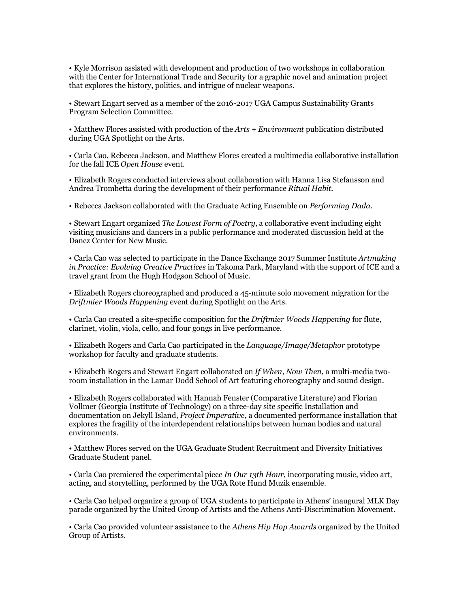• Kyle Morrison assisted with development and production of two workshops in collaboration with the Center for International Trade and Security for a graphic novel and animation project that explores the history, politics, and intrigue of nuclear weapons.

• Stewart Engart served as a member of the 2016-2017 UGA Campus Sustainability Grants Program Selection Committee.

• Matthew Flores assisted with production of the *Arts + Environment* publication distributed during UGA Spotlight on the Arts.

• Carla Cao, Rebecca Jackson, and Matthew Flores created a multimedia collaborative installation for the fall ICE *Open House* event.

• Elizabeth Rogers conducted interviews about collaboration with Hanna Lisa Stefansson and Andrea Trombetta during the development of their performance *Ritual Habit.*

• Rebecca Jackson collaborated with the Graduate Acting Ensemble on *Performing Dada*.

• Stewart Engart organized *The Lowest Form of Poetry*, a collaborative event including eight visiting musicians and dancers in a public performance and moderated discussion held at the Dancz Center for New Music.

• Carla Cao was selected to participate in the Dance Exchange 2017 Summer Institute *Artmaking in Practice: Evolving Creative Practices* in Takoma Park, Maryland with the support of ICE and a travel grant from the Hugh Hodgson School of Music.

• Elizabeth Rogers choreographed and produced a 45-minute solo movement migration for the *Driftmier Woods Happening* event during Spotlight on the Arts.

• Carla Cao created a site-specific composition for the *Driftmier Woods Happening* for flute, clarinet, violin, viola, cello, and four gongs in live performance.

• Elizabeth Rogers and Carla Cao participated in the *Language/Image/Metaphor* prototype workshop for faculty and graduate students.

• Elizabeth Rogers and Stewart Engart collaborated on *If When, Now Then*, a multi-media tworoom installation in the Lamar Dodd School of Art featuring choreography and sound design.

• Elizabeth Rogers collaborated with Hannah Fenster (Comparative Literature) and Florian Vollmer (Georgia Institute of Technology) on a three-day site specific Installation and documentation on Jekyll Island, *Project Imperative*, a documented performance installation that explores the fragility of the interdependent relationships between human bodies and natural environments.

• Matthew Flores served on the UGA Graduate Student Recruitment and Diversity Initiatives Graduate Student panel.

• Carla Cao premiered the experimental piece *In Our 13th Hour*, incorporating music, video art, acting, and storytelling, performed by the UGA Rote Hund Muzik ensemble.

• Carla Cao helped organize a group of UGA students to participate in Athens' inaugural MLK Day parade organized by the United Group of Artists and the Athens Anti-Discrimination Movement.

• Carla Cao provided volunteer assistance to the *Athens Hip Hop Awards* organized by the United Group of Artists.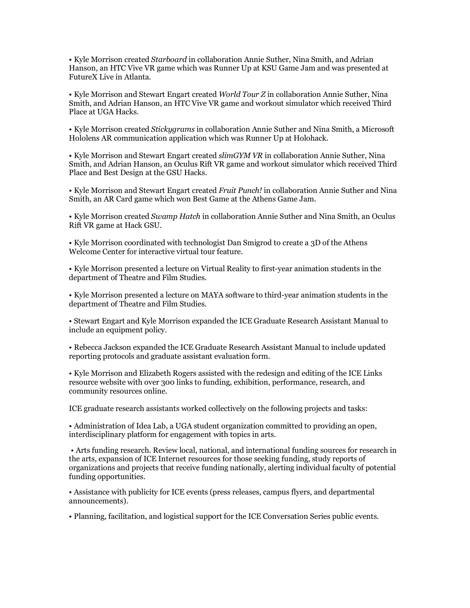• Kyle Morrison created *Starboard* in collaboration Annie Suther, Nina Smith, and Adrian Hanson, an HTC Vive VR game which was Runner Up at KSU Game Jam and was presented at FutureX Live in Atlanta.

• Kyle Morrison and Stewart Engart created *World Tour Z* in collaboration Annie Suther, Nina Smith, and Adrian Hanson, an HTC Vive VR game and workout simulator which received Third Place at UGA Hacks.

• Kyle Morrison created *Stickygrams* in collaboration Annie Suther and Nina Smith, a Microsoft Hololens AR communication application which was Runner Up at Holohack.

• Kyle Morrison and Stewart Engart created *slimGYM VR* in collaboration Annie Suther, Nina Smith, and Adrian Hanson, an Oculus Rift VR game and workout simulator which received Third Place and Best Design at the GSU Hacks.

• Kyle Morrison and Stewart Engart created *Fruit Punch!* in collaboration Annie Suther and Nina Smith*,* an AR Card game which won Best Game at the Athens Game Jam.

• Kyle Morrison created *Swamp Hatch* in collaboration Annie Suther and Nina Smith, an Oculus Rift VR game at Hack GSU.

• Kyle Morrison coordinated with technologist Dan Smigrod to create a 3D of the Athens Welcome Center for interactive virtual tour feature.

• Kyle Morrison presented a lecture on Virtual Reality to first-year animation students in the department of Theatre and Film Studies.

• Kyle Morrison presented a lecture on MAYA software to third-year animation students in the department of Theatre and Film Studies.

• Stewart Engart and Kyle Morrison expanded the ICE Graduate Research Assistant Manual to include an equipment policy.

• Rebecca Jackson expanded the ICE Graduate Research Assistant Manual to include updated reporting protocols and graduate assistant evaluation form.

• Kyle Morrison and Elizabeth Rogers assisted with the redesign and editing of the ICE Links resource website with over 300 links to funding, exhibition, performance, research, and community resources online.

ICE graduate research assistants worked collectively on the following projects and tasks:

• Administration of Idea Lab, a UGA student organization committed to providing an open, interdisciplinary platform for engagement with topics in arts.

• Arts funding research. Review local, national, and international funding sources for research in the arts, expansion of ICE Internet resources for those seeking funding, study reports of organizations and projects that receive funding nationally, alerting individual faculty of potential funding opportunities.

• Assistance with publicity for ICE events (press releases, campus flyers, and departmental announcements).

• Planning, facilitation, and logistical support for the ICE Conversation Series public events.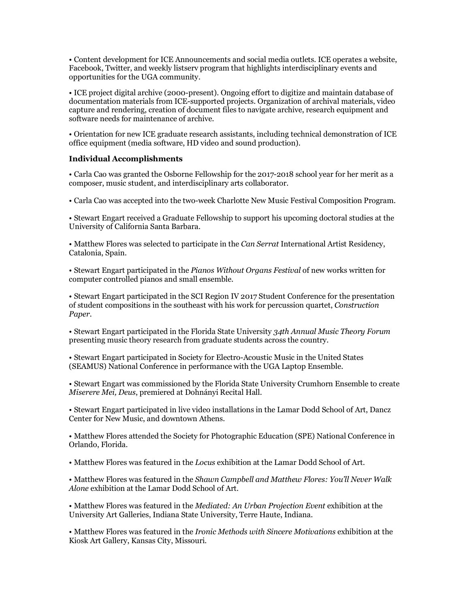• Content development for ICE Announcements and social media outlets. ICE operates a website, Facebook, Twitter, and weekly listserv program that highlights interdisciplinary events and opportunities for the UGA community.

• ICE project digital archive (2000-present). Ongoing effort to digitize and maintain database of documentation materials from ICE-supported projects. Organization of archival materials, video capture and rendering, creation of document files to navigate archive, research equipment and software needs for maintenance of archive.

• Orientation for new ICE graduate research assistants, including technical demonstration of ICE office equipment (media software, HD video and sound production).

### **Individual Accomplishments**

• Carla Cao was granted the Osborne Fellowship for the 2017-2018 school year for her merit as a composer, music student, and interdisciplinary arts collaborator.

• Carla Cao was accepted into the two-week Charlotte New Music Festival Composition Program.

• Stewart Engart received a Graduate Fellowship to support his upcoming doctoral studies at the University of California Santa Barbara.

• Matthew Flores was selected to participate in the *Can Serrat* International Artist Residency, Catalonia, Spain.

• Stewart Engart participated in the *Pianos Without Organs Festival* of new works written for computer controlled pianos and small ensemble.

• Stewart Engart participated in the SCI Region IV 2017 Student Conference for the presentation of student compositions in the southeast with his work for percussion quartet, *Construction Paper*.

• Stewart Engart participated in the Florida State University *34th Annual Music Theory Forum* presenting music theory research from graduate students across the country.

• Stewart Engart participated in Society for Electro-Acoustic Music in the United States (SEAMUS) National Conference in performance with the UGA Laptop Ensemble.

• Stewart Engart was commissioned by the Florida State University Crumhorn Ensemble to create *Miserere Mei, Deus*, premiered at Dohnányi Recital Hall.

• Stewart Engart participated in live video installations in the Lamar Dodd School of Art, Dancz Center for New Music, and downtown Athens.

• Matthew Flores attended the Society for Photographic Education (SPE) National Conference in Orlando, Florida.

• Matthew Flores was featured in the *Locus* exhibition at the Lamar Dodd School of Art.

• Matthew Flores was featured in the *Shawn Campbell and Matthew Flores: You'll Never Walk Alone* exhibition at the Lamar Dodd School of Art.

• Matthew Flores was featured in the *Mediated: An Urban Projection Event* exhibition at the University Art Galleries, Indiana State University, Terre Haute, Indiana.

• Matthew Flores was featured in the *Ironic Methods with Sincere Motivations* exhibition at the Kiosk Art Gallery, Kansas City, Missouri.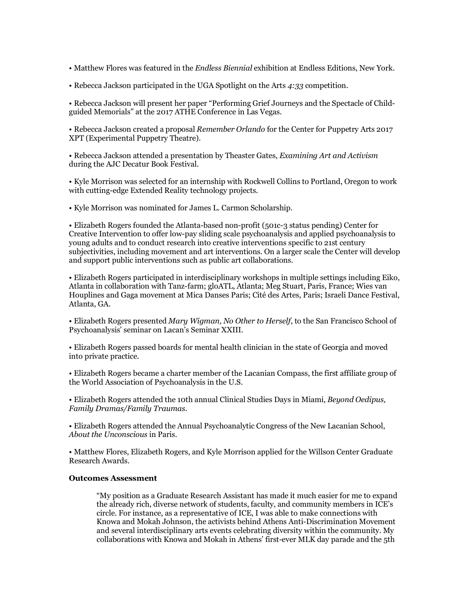- Matthew Flores was featured in the *Endless Biennial* exhibition at Endless Editions, New York.
- Rebecca Jackson participated in the UGA Spotlight on the Arts *4:33* competition.

• Rebecca Jackson will present her paper "Performing Grief Journeys and the Spectacle of Childguided Memorials" at the 2017 ATHE Conference in Las Vegas.

• Rebecca Jackson created a proposal *Remember Orlando* for the Center for Puppetry Arts 2017 XPT (Experimental Puppetry Theatre).

• Rebecca Jackson attended a presentation by Theaster Gates, *Examining Art and Activism* during the AJC Decatur Book Festival.

• Kyle Morrison was selected for an internship with Rockwell Collins to Portland, Oregon to work with cutting-edge Extended Reality technology projects.

• Kyle Morrison was nominated for James L. Carmon Scholarship.

• Elizabeth Rogers founded the Atlanta-based non-profit (501c-3 status pending) Center for Creative Intervention to offer low-pay sliding scale psychoanalysis and applied psychoanalysis to young adults and to conduct research into creative interventions specific to 21st century subiectivities, including movement and art interventions. On a larger scale the Center will develop and support public interventions such as public art collaborations.

• Elizabeth Rogers participated in interdisciplinary workshops in multiple settings including Eiko, Atlanta in collaboration with Tanz-farm; gloATL, Atlanta; Meg Stuart, Paris, France; Wies van Houplines and Gaga movement at Mica Danses Paris; Cité des Artes, Paris; Israeli Dance Festival, Atlanta, GA.

• Elizabeth Rogers presented *Mary Wigman, No Other to Herself*, to the San Francisco School of Psychoanalysis' seminar on Lacan's Seminar XXIII.

• Elizabeth Rogers passed boards for mental health clinician in the state of Georgia and moved into private practice.

• Elizabeth Rogers became a charter member of the Lacanian Compass, the first affiliate group of the World Association of Psychoanalysis in the U.S.

• Elizabeth Rogers attended the 10th annual Clinical Studies Days in Miami, *Beyond Oedipus, Family Dramas/Family Traumas*.

• Elizabeth Rogers attended the Annual Psychoanalytic Congress of the New Lacanian School, *About the Unconscious* in Paris.

• Matthew Flores, Elizabeth Rogers, and Kyle Morrison applied for the Willson Center Graduate Research Awards.

### **Outcomes Assessment**

"My position as a Graduate Research Assistant has made it much easier for me to expand the already rich, diverse network of students, faculty, and community members in ICE's circle. For instance, as a representative of ICE, I was able to make connections with Knowa and Mokah Johnson, the activists behind Athens Anti-Discrimination Movement and several interdisciplinary arts events celebrating diversity within the community. My collaborations with Knowa and Mokah in Athens' first-ever MLK day parade and the 5th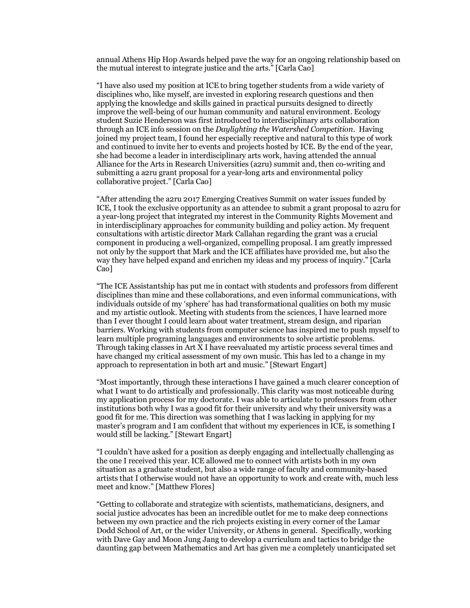annual Athens Hip Hop Awards helped pave the way for an ongoing relationship based on the mutual interest to integrate justice and the arts." [Carla Cao]

"I have also used my position at ICE to bring together students from a wide variety of disciplines who, like myself, are invested in exploring research questions and then applying the knowledge and skills gained in practical pursuits designed to directly improve the well-being of our human community and natural environment. Ecology student Suzie Henderson was first introduced to interdisciplinary arts collaboration through an ICE info session on the *Daylighting the Watershed Competition*. Having joined my project team, I found her especially receptive and natural to this type of work and continued to invite her to events and projects hosted by ICE. By the end of the year, she had become a leader in interdisciplinary arts work, having attended the annual Alliance for the Arts in Research Universities (a2ru) summit and, then co-writing and submitting a a2ru grant proposal for a year-long arts and environmental policy collaborative project." [Carla Cao]

"After attending the a2ru 2017 Emerging Creatives Summit on water issues funded by ICE, I took the exclusive opportunity as an attendee to submit a grant proposal to a2ru for a year-long project that integrated my interest in the Community Rights Movement and in interdisciplinary approaches for community building and policy action. My frequent consultations with artistic director Mark Callahan regarding the grant was a crucial component in producing a well-organized, compelling proposal. I am greatly impressed not only by the support that Mark and the ICE affiliates have provided me, but also the way they have helped expand and enrichen my ideas and my process of inquiry." [Carla Cao]

"The ICE Assistantship has put me in contact with students and professors from different disciplines than mine and these collaborations, and even informal communications, with individuals outside of my 'sphere' has had transformational qualities on both my music and my artistic outlook. Meeting with students from the sciences, I have learned more than I ever thought I could learn about water treatment, stream design, and riparian barriers. Working with students from computer science has inspired me to push myself to learn multiple programing languages and environments to solve artistic problems. Through taking classes in Art X I have reevaluated my artistic process several times and have changed my critical assessment of my own music. This has led to a change in my approach to representation in both art and music." [Stewart Engart]

"Most importantly, through these interactions I have gained a much clearer conception of what I want to do artistically and professionally. This clarity was most noticeable during my application process for my doctorate. I was able to articulate to professors from other institutions both why I was a good fit for their university and why their university was a good fit for me. This direction was something that I was lacking in applying for my master's program and I am confident that without my experiences in ICE, is something I would still be lacking." [Stewart Engart]

"I couldn't have asked for a position as deeply engaging and intellectually challenging as the one I received this year. ICE allowed me to connect with artists both in my own situation as a graduate student, but also a wide range of faculty and community-based artists that I otherwise would not have an opportunity to work and create with, much less meet and know." [Matthew Flores]

"Getting to collaborate and strategize with scientists, mathematicians, designers, and social justice advocates has been an incredible outlet for me to make deep connections between my own practice and the rich projects existing in every corner of the Lamar Dodd School of Art, or the wider University, or Athens in general. Specifically, working with Dave Gay and Moon Jung Jang to develop a curriculum and tactics to bridge the daunting gap between Mathematics and Art has given me a completely unanticipated set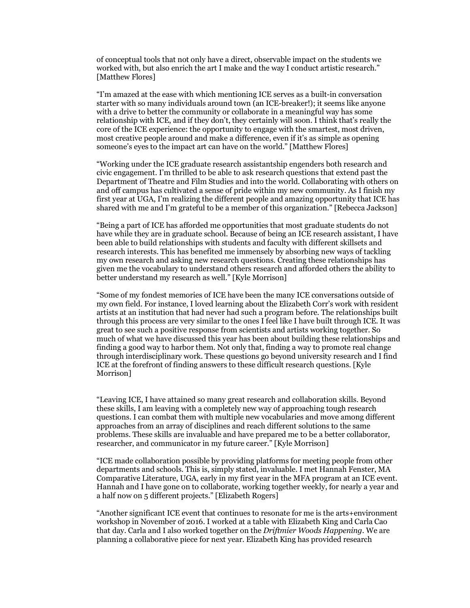of conceptual tools that not only have a direct, observable impact on the students we worked with, but also enrich the art I make and the way I conduct artistic research." [Matthew Flores]

"I'm amazed at the ease with which mentioning ICE serves as a built-in conversation starter with so many individuals around town (an ICE-breaker!); it seems like anyone with a drive to better the community or collaborate in a meaningful way has some relationship with ICE, and if they don't, they certainly will soon. I think that's really the core of the ICE experience: the opportunity to engage with the smartest, most driven, most creative people around and make a difference, even if it's as simple as opening someone's eyes to the impact art can have on the world." [Matthew Flores]

"Working under the ICE graduate research assistantship engenders both research and civic engagement. I'm thrilled to be able to ask research questions that extend past the Department of Theatre and Film Studies and into the world. Collaborating with others on and off campus has cultivated a sense of pride within my new community. As I finish my first year at UGA, I'm realizing the different people and amazing opportunity that ICE has shared with me and I'm grateful to be a member of this organization." [Rebecca Jackson]

"Being a part of ICE has afforded me opportunities that most graduate students do not have while they are in graduate school. Because of being an ICE research assistant, I have been able to build relationships with students and faculty with different skillsets and research interests. This has benefited me immensely by absorbing new ways of tackling my own research and asking new research questions. Creating these relationships has given me the vocabulary to understand others research and afforded others the ability to better understand my research as well." [Kyle Morrison]

"Some of my fondest memories of ICE have been the many ICE conversations outside of my own field. For instance, I loved learning about the Elizabeth Corr's work with resident artists at an institution that had never had such a program before. The relationships built through this process are very similar to the ones I feel like I have built through ICE. It was great to see such a positive response from scientists and artists working together. So much of what we have discussed this year has been about building these relationships and finding a good way to harbor them. Not only that, finding a way to promote real change through interdisciplinary work. These questions go beyond university research and I find ICE at the forefront of finding answers to these difficult research questions. [Kyle Morrison]

"Leaving ICE, I have attained so many great research and collaboration skills. Beyond these skills, I am leaving with a completely new way of approaching tough research questions. I can combat them with multiple new vocabularies and move among different approaches from an array of disciplines and reach different solutions to the same problems. These skills are invaluable and have prepared me to be a better collaborator, researcher, and communicator in my future career." [Kyle Morrison]

"ICE made collaboration possible by providing platforms for meeting people from other departments and schools. This is, simply stated, invaluable. I met Hannah Fenster, MA Comparative Literature, UGA, early in my first year in the MFA program at an ICE event. Hannah and I have gone on to collaborate, working together weekly, for nearly a year and a half now on 5 different projects." [Elizabeth Rogers]

"Another significant ICE event that continues to resonate for me is the arts+environment workshop in November of 2016. I worked at a table with Elizabeth King and Carla Cao that day. Carla and I also worked together on the *Driftmier Woods Happening*. We are planning a collaborative piece for next year. Elizabeth King has provided research